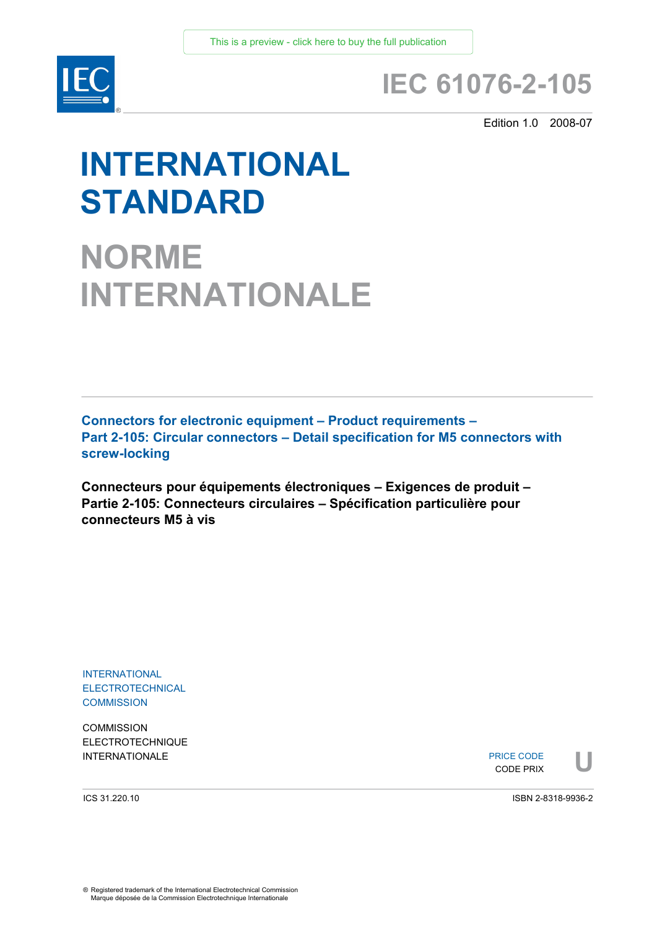

# **IEC 61076-2-105**

Edition 1.0 2008-07

# **INTERNATIONAL STANDARD**

**NORME INTERNATIONALE**

**Connectors for electronic equipment – Product requirements – Part 2-105: Circular connectors – Detail specification for M5 connectors with screw-locking** 

**Connecteurs pour équipements électroniques – Exigences de produit – Partie 2-105: Connecteurs circulaires – Spécification particulière pour connecteurs M5 à vis** 

INTERNATIONAL ELECTROTECHNICAL **COMMISSION** 

**COMMISSION** ELECTROTECHNIQUE

INTERNATIONALE PRICE CODE PRICE CODE PRICE CODE PRICE CODE PRIX PRICE CODE CODE PRIX

ICS 31.220.10

ISBN 2-8318-9936-2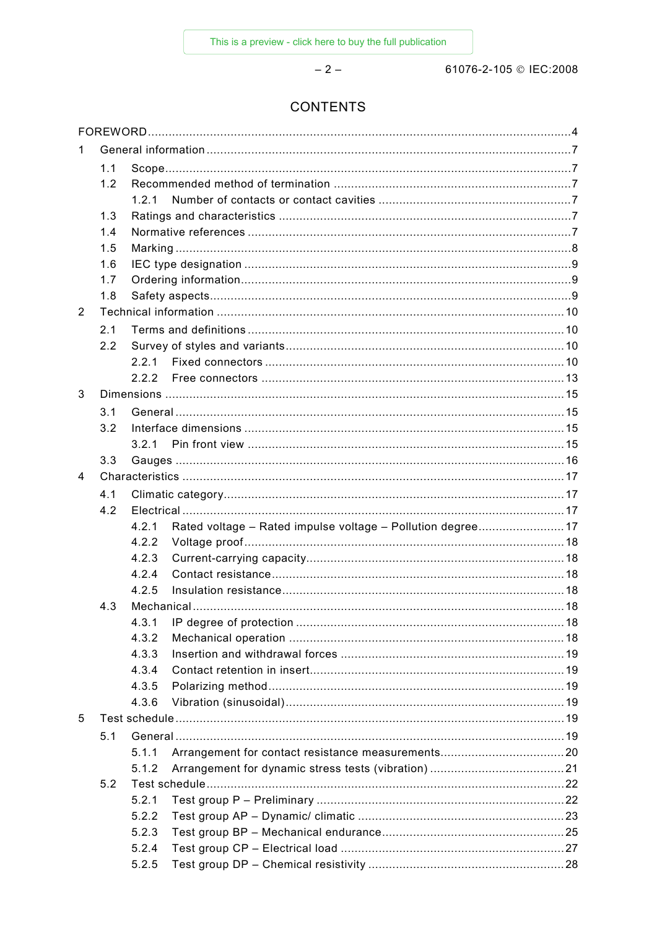$-2-$ 

61076-2-105 © IEC:2008

# **CONTENTS**

| 1<br>1.1<br>1.2<br>1 2 1<br>1.3<br>1.4<br>1.5<br>1.6<br>1.7<br>1.8<br>$\overline{2}$<br>2.1<br>2.2<br>2.2.1<br>2.2.2<br>3<br>3.1<br>3.2<br>3.3<br>4.1<br>4.2<br>Rated voltage - Rated impulse voltage - Pollution degree 17<br>4.2.1<br>4.2.2<br>4.2.3<br>4.2.4<br>4.2.5<br>4.3<br>4.3.2<br>4.3.3<br>4.3.4<br>4.3.5<br>4.3.6<br>5<br>5.1<br>5.1.1<br>5.1.2<br>5.2<br>5.2.1<br>5.2.2<br>5.2.3<br>5.2.4 |   |  |  |  |  |  |
|-------------------------------------------------------------------------------------------------------------------------------------------------------------------------------------------------------------------------------------------------------------------------------------------------------------------------------------------------------------------------------------------------------|---|--|--|--|--|--|
|                                                                                                                                                                                                                                                                                                                                                                                                       |   |  |  |  |  |  |
|                                                                                                                                                                                                                                                                                                                                                                                                       |   |  |  |  |  |  |
|                                                                                                                                                                                                                                                                                                                                                                                                       |   |  |  |  |  |  |
|                                                                                                                                                                                                                                                                                                                                                                                                       |   |  |  |  |  |  |
|                                                                                                                                                                                                                                                                                                                                                                                                       |   |  |  |  |  |  |
|                                                                                                                                                                                                                                                                                                                                                                                                       |   |  |  |  |  |  |
|                                                                                                                                                                                                                                                                                                                                                                                                       |   |  |  |  |  |  |
|                                                                                                                                                                                                                                                                                                                                                                                                       |   |  |  |  |  |  |
|                                                                                                                                                                                                                                                                                                                                                                                                       |   |  |  |  |  |  |
|                                                                                                                                                                                                                                                                                                                                                                                                       |   |  |  |  |  |  |
|                                                                                                                                                                                                                                                                                                                                                                                                       |   |  |  |  |  |  |
|                                                                                                                                                                                                                                                                                                                                                                                                       |   |  |  |  |  |  |
|                                                                                                                                                                                                                                                                                                                                                                                                       |   |  |  |  |  |  |
|                                                                                                                                                                                                                                                                                                                                                                                                       |   |  |  |  |  |  |
|                                                                                                                                                                                                                                                                                                                                                                                                       |   |  |  |  |  |  |
|                                                                                                                                                                                                                                                                                                                                                                                                       |   |  |  |  |  |  |
|                                                                                                                                                                                                                                                                                                                                                                                                       |   |  |  |  |  |  |
|                                                                                                                                                                                                                                                                                                                                                                                                       |   |  |  |  |  |  |
|                                                                                                                                                                                                                                                                                                                                                                                                       |   |  |  |  |  |  |
|                                                                                                                                                                                                                                                                                                                                                                                                       |   |  |  |  |  |  |
|                                                                                                                                                                                                                                                                                                                                                                                                       | 4 |  |  |  |  |  |
|                                                                                                                                                                                                                                                                                                                                                                                                       |   |  |  |  |  |  |
|                                                                                                                                                                                                                                                                                                                                                                                                       |   |  |  |  |  |  |
|                                                                                                                                                                                                                                                                                                                                                                                                       |   |  |  |  |  |  |
|                                                                                                                                                                                                                                                                                                                                                                                                       |   |  |  |  |  |  |
|                                                                                                                                                                                                                                                                                                                                                                                                       |   |  |  |  |  |  |
|                                                                                                                                                                                                                                                                                                                                                                                                       |   |  |  |  |  |  |
|                                                                                                                                                                                                                                                                                                                                                                                                       |   |  |  |  |  |  |
|                                                                                                                                                                                                                                                                                                                                                                                                       |   |  |  |  |  |  |
|                                                                                                                                                                                                                                                                                                                                                                                                       |   |  |  |  |  |  |
|                                                                                                                                                                                                                                                                                                                                                                                                       |   |  |  |  |  |  |
|                                                                                                                                                                                                                                                                                                                                                                                                       |   |  |  |  |  |  |
|                                                                                                                                                                                                                                                                                                                                                                                                       |   |  |  |  |  |  |
|                                                                                                                                                                                                                                                                                                                                                                                                       |   |  |  |  |  |  |
|                                                                                                                                                                                                                                                                                                                                                                                                       |   |  |  |  |  |  |
|                                                                                                                                                                                                                                                                                                                                                                                                       |   |  |  |  |  |  |
|                                                                                                                                                                                                                                                                                                                                                                                                       |   |  |  |  |  |  |
|                                                                                                                                                                                                                                                                                                                                                                                                       |   |  |  |  |  |  |
|                                                                                                                                                                                                                                                                                                                                                                                                       |   |  |  |  |  |  |
|                                                                                                                                                                                                                                                                                                                                                                                                       |   |  |  |  |  |  |
|                                                                                                                                                                                                                                                                                                                                                                                                       |   |  |  |  |  |  |
|                                                                                                                                                                                                                                                                                                                                                                                                       |   |  |  |  |  |  |
|                                                                                                                                                                                                                                                                                                                                                                                                       |   |  |  |  |  |  |
|                                                                                                                                                                                                                                                                                                                                                                                                       |   |  |  |  |  |  |
| 5.2.5                                                                                                                                                                                                                                                                                                                                                                                                 |   |  |  |  |  |  |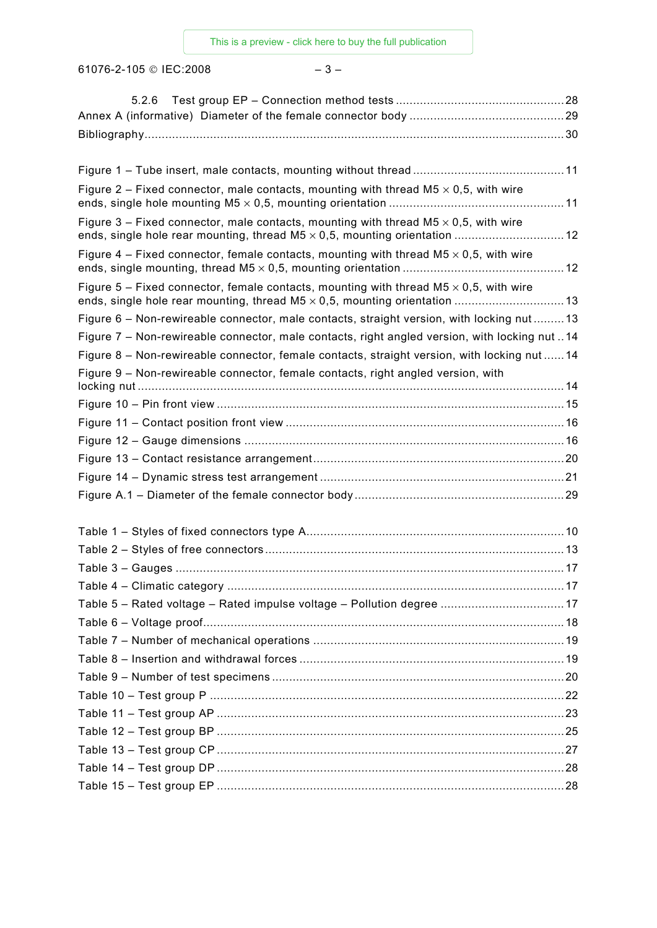61076-2-105 © IEC:2008 – 3 –

| Figure 2 – Fixed connector, male contacts, mounting with thread M5 $\times$ 0,5, with wire    |  |
|-----------------------------------------------------------------------------------------------|--|
|                                                                                               |  |
| Figure 3 – Fixed connector, male contacts, mounting with thread $M5 \times 0.5$ , with wire   |  |
| Figure 4 – Fixed connector, female contacts, mounting with thread $M5 \times 0.5$ , with wire |  |
| Figure 5 – Fixed connector, female contacts, mounting with thread $M5 \times 0.5$ , with wire |  |
| Figure 6 – Non-rewireable connector, male contacts, straight version, with locking nut13      |  |
| Figure 7 – Non-rewireable connector, male contacts, right angled version, with locking nut 14 |  |
| Figure 8 - Non-rewireable connector, female contacts, straight version, with locking nut  14  |  |
| Figure 9 - Non-rewireable connector, female contacts, right angled version, with              |  |
|                                                                                               |  |
|                                                                                               |  |
|                                                                                               |  |
|                                                                                               |  |
|                                                                                               |  |
|                                                                                               |  |
|                                                                                               |  |
|                                                                                               |  |
|                                                                                               |  |
|                                                                                               |  |
|                                                                                               |  |
| Table 5 - Rated voltage - Rated impulse voltage - Pollution degree  17                        |  |
|                                                                                               |  |
|                                                                                               |  |
|                                                                                               |  |
|                                                                                               |  |
|                                                                                               |  |
|                                                                                               |  |
|                                                                                               |  |
|                                                                                               |  |
|                                                                                               |  |
|                                                                                               |  |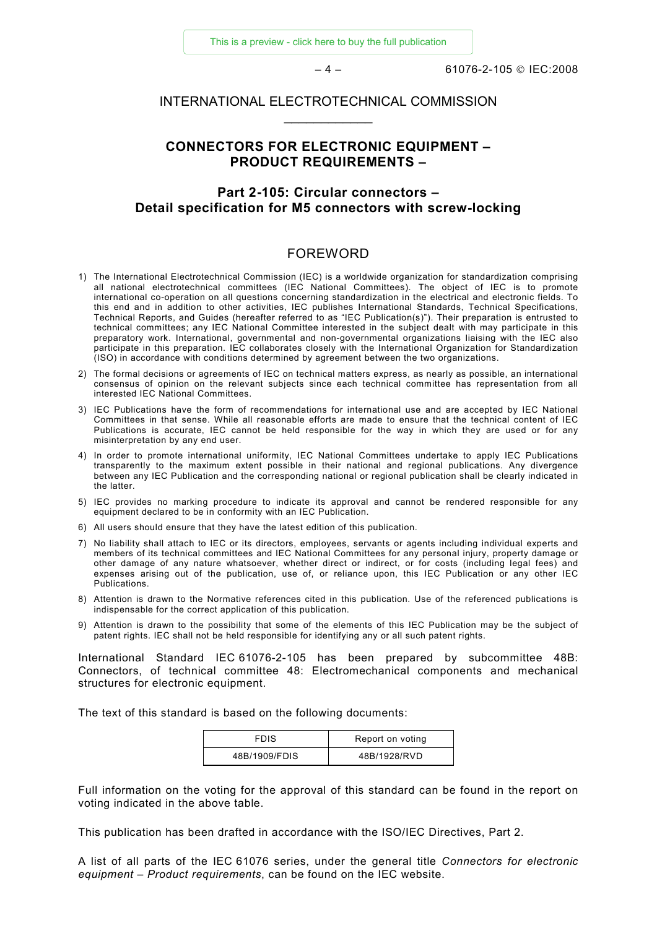[This is a preview - click here to buy the full publication](https://webstore.iec.ch/publication/4422&preview=1)

 $-4 - 61076 - 2 - 105 \odot 12008$ 

# <span id="page-3-0"></span>INTERNATIONAL ELECTROTECHNICAL COMMISSION  $\frac{1}{2}$  ,  $\frac{1}{2}$  ,  $\frac{1}{2}$  ,  $\frac{1}{2}$  ,  $\frac{1}{2}$  ,  $\frac{1}{2}$

# **CONNECTORS FOR ELECTRONIC EQUIPMENT – PRODUCT REQUIREMENTS –**

# **Part 2-105: Circular connectors – Detail specification for M5 connectors with screw-locking**

# FOREWORD

- 1) The International Electrotechnical Commission (IEC) is a worldwide organization for standardization comprising all national electrotechnical committees (IEC National Committees). The object of IEC is to promote international co-operation on all questions concerning standardization in the electrical and electronic fields. To this end and in addition to other activities, IEC publishes International Standards, Technical Specifications, Technical Reports, and Guides (hereafter referred to as "IEC Publication(s)"). Their preparation is entrusted to technical committees; any IEC National Committee interested in the subject dealt with may participate in this preparatory work. International, governmental and non-governmental organizations liaising with the IEC also participate in this preparation. IEC collaborates closely with the International Organization for Standardization (ISO) in accordance with conditions determined by agreement between the two organizations.
- 2) The formal decisions or agreements of IEC on technical matters express, as nearly as possible, an international consensus of opinion on the relevant subjects since each technical committee has representation from all interested IEC National Committees.
- 3) IEC Publications have the form of recommendations for international use and are accepted by IEC National Committees in that sense. While all reasonable efforts are made to ensure that the technical content of IEC Publications is accurate, IEC cannot be held responsible for the way in which they are used or for any misinterpretation by any end user.
- 4) In order to promote international uniformity, IEC National Committees undertake to apply IEC Publications transparently to the maximum extent possible in their national and regional publications. Any divergence between any IEC Publication and the corresponding national or regional publication shall be clearly indicated in the latter.
- 5) IEC provides no marking procedure to indicate its approval and cannot be rendered responsible for any equipment declared to be in conformity with an IEC Publication.
- 6) All users should ensure that they have the latest edition of this publication.
- 7) No liability shall attach to IEC or its directors, employees, servants or agents including individual experts and members of its technical committees and IEC National Committees for any personal injury, property damage or other damage of any nature whatsoever, whether direct or indirect, or for costs (including legal fees) and expenses arising out of the publication, use of, or reliance upon, this IEC Publication or any other IEC Publications.
- 8) Attention is drawn to the Normative references cited in this publication. Use of the referenced publications is indispensable for the correct application of this publication.
- 9) Attention is drawn to the possibility that some of the elements of this IEC Publication may be the subject of patent rights. IEC shall not be held responsible for identifying any or all such patent rights.

International Standard IEC 61076-2-105 has been prepared by subcommittee 48B: Connectors, of technical committee 48: Electromechanical components and mechanical structures for electronic equipment.

The text of this standard is based on the following documents:

| <b>FDIS</b>   | Report on voting |
|---------------|------------------|
| 48B/1909/FDIS | 48B/1928/RVD     |

Full information on the voting for the approval of this standard can be found in the report on voting indicated in the above table.

This publication has been drafted in accordance with the ISO/IEC Directives, Part 2.

A list of all parts of the IEC 61076 series, under the general title *Connectors for electronic equipment – Product requirements*, can be found on the IEC website.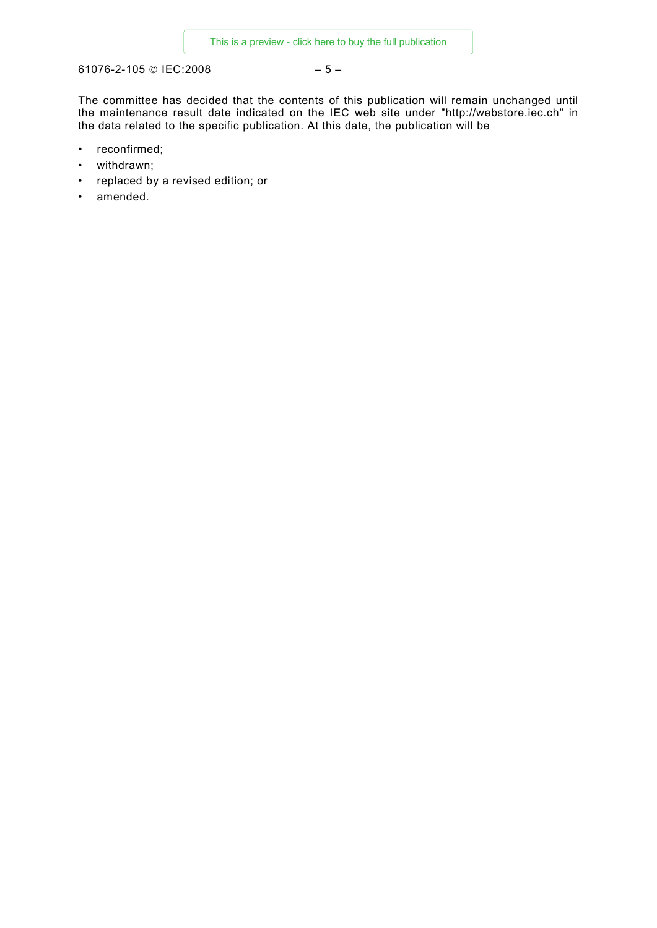61076-2-105 © IEC:2008 – 5 –

The committee has decided that the contents of this publication will remain unchanged until the maintenance result date indicated on the IEC web site under "http://webstore.iec.ch" in the data related to the specific publication. At this date, the publication will be

- reconfirmed;
- withdrawn;
- replaced by a revised edition; or
- amended.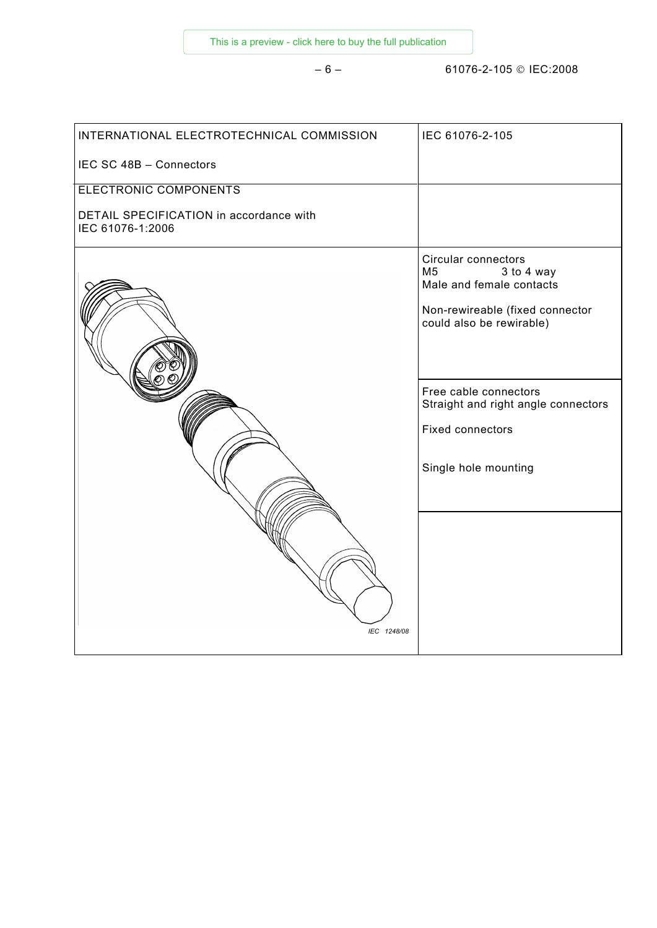– 6 – 61076-2-105 © IEC:2008

| INTERNATIONAL ELECTROTECHNICAL COMMISSION                   | IEC 61076-2-105                                                                                                                                |
|-------------------------------------------------------------|------------------------------------------------------------------------------------------------------------------------------------------------|
| IEC SC 48B - Connectors                                     |                                                                                                                                                |
| <b>ELECTRONIC COMPONENTS</b>                                |                                                                                                                                                |
| DETAIL SPECIFICATION in accordance with<br>IEC 61076-1:2006 |                                                                                                                                                |
|                                                             | Circular connectors<br>M <sub>5</sub><br>3 to 4 way<br>Male and female contacts<br>Non-rewireable (fixed connector<br>could also be rewirable) |
|                                                             | Free cable connectors<br>Straight and right angle connectors<br><b>Fixed connectors</b><br>Single hole mounting                                |
| IEC 1248/08                                                 |                                                                                                                                                |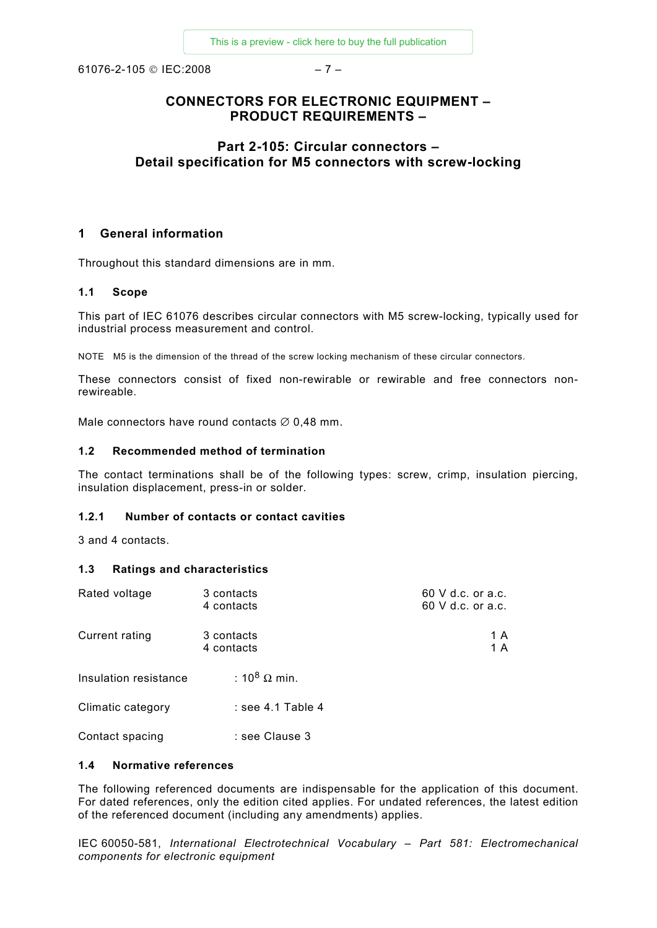<span id="page-6-0"></span> $61076 - 2 - 105 \odot 12008$  – 7 –

# **CONNECTORS FOR ELECTRONIC EQUIPMENT – PRODUCT REQUIREMENTS –**

# **Part 2-105: Circular connectors – Detail specification for M5 connectors with screw-locking**

# **1 General information**

Throughout this standard dimensions are in mm.

## **1.1 Scope**

This part of IEC 61076 describes circular connectors with M5 screw-locking, typically used for industrial process measurement and control.

NOTE M5 is the dimension of the thread of the screw locking mechanism of these circular connectors.

These connectors consist of fixed non-rewirable or rewirable and free connectors nonrewireable.

Male connectors have round contacts  $\varnothing$  0.48 mm.

### **1.2 Recommended method of termination**

The contact terminations shall be of the following types: screw, crimp, insulation piercing, insulation displacement, press-in or solder.

### **1.2.1 Number of contacts or contact cavities**

3 and 4 contacts.

### **1.3 Ratings and characteristics**

| Rated voltage         | 3 contacts<br>4 contacts        | $60$ V d.c. or a.c.<br>$60$ V d.c. or a.c. |
|-----------------------|---------------------------------|--------------------------------------------|
| Current rating        | 3 contacts<br>4 contacts        | 1 A<br>1 A                                 |
| Insulation resistance | : 10 <sup>8</sup> $\Omega$ min. |                                            |
| Climatic category     | : see 4.1 Table 4               |                                            |

Contact spacing **contact spacing** : see Clause 3

# **1.4 Normative references**

The following referenced documents are indispensable for the application of this document. For dated references, only the edition cited applies. For undated references, the latest edition of the referenced document (including any amendments) applies.

IEC 60050-581, *International Electrotechnical Vocabulary – Part 581: Electromechanical components for electronic equipment*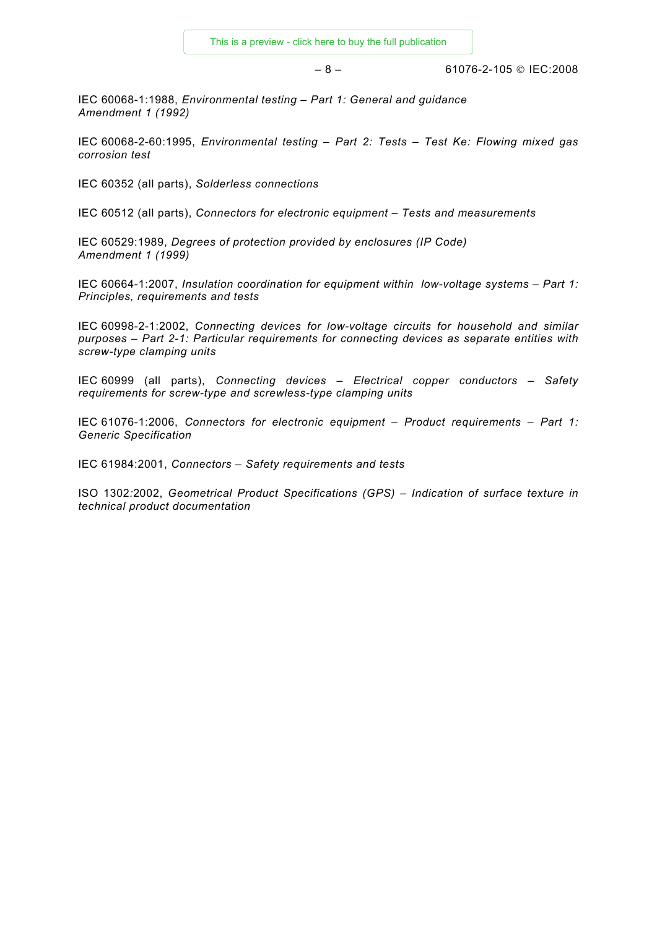– 8 – 61076-2-105 © IEC:2008

<span id="page-7-0"></span>IEC 60068-1:1988, *Environmental testing – Part 1: General and guidance Amendment 1 (1992)*

IEC 60068-2-60:1995, *Environmental testing – Part 2: Tests – Test Ke: Flowing mixed gas corrosion test* 

IEC 60352 (all parts), *Solderless connections*

IEC 60512 (all parts), *Connectors for electronic equipment – Tests and measurements*

IEC 60529:1989, *Degrees of protection provided by enclosures (IP Code) Amendment 1 (1999)*

IEC 60664-1:2007, *Insulation coordination for equipment within low-voltage systems – Part 1: Principles, requirements and tests*

IEC 60998-2-1:2002, *Connecting devices for low-voltage circuits for household and similar purposes – Part 2-1: Particular requirements for connecting devices as separate entities with screw-type clamping units* 

IEC 60999 (all parts), *Connecting devices – Electrical copper conductors – Safety requirements for screw-type and screwless-type clamping units*

IEC 61076-1:2006, *Connectors for electronic equipment – Product requirements – Part 1: Generic Specification* 

IEC 61984:2001, *Connectors – Safety requirements and tests* 

ISO 1302*:*2002, *Geometrical Product Specifications (GPS) – Indication of surface texture in technical product documentation*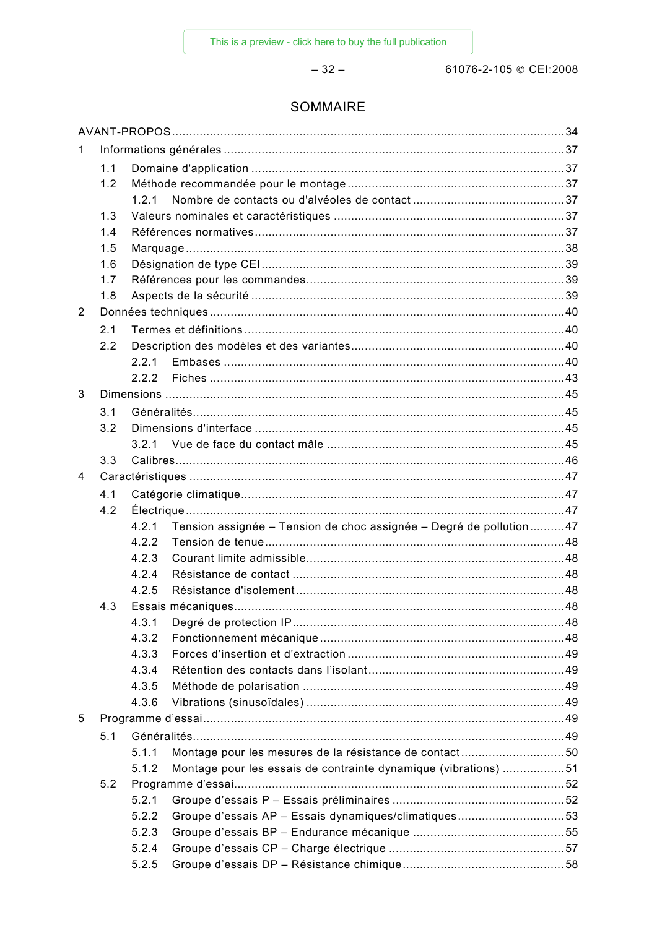$-32-$ 

61076-2-105 © CEI:2008

# SOMMAIRE

| 1              |     |       |                                                                     |  |
|----------------|-----|-------|---------------------------------------------------------------------|--|
|                | 1.1 |       |                                                                     |  |
|                | 1.2 |       |                                                                     |  |
|                |     | 1.2.1 |                                                                     |  |
|                | 1.3 |       |                                                                     |  |
|                | 1.4 |       |                                                                     |  |
|                | 1.5 |       |                                                                     |  |
|                | 1.6 |       |                                                                     |  |
|                | 1.7 |       |                                                                     |  |
|                | 1.8 |       |                                                                     |  |
| $\overline{2}$ |     |       |                                                                     |  |
|                | 2.1 |       |                                                                     |  |
|                | 2.2 |       |                                                                     |  |
|                |     | 2.2.1 |                                                                     |  |
|                |     | 2.2.2 |                                                                     |  |
| 3              |     |       |                                                                     |  |
|                | 3.1 |       |                                                                     |  |
|                | 3.2 |       |                                                                     |  |
|                |     |       |                                                                     |  |
|                | 3.3 |       |                                                                     |  |
| 4              |     |       |                                                                     |  |
|                | 4.1 |       |                                                                     |  |
|                | 4.2 |       |                                                                     |  |
|                |     | 4.2.1 | Tension assignée - Tension de choc assignée - Degré de pollution 47 |  |
|                |     | 4.2.2 |                                                                     |  |
|                |     | 4.2.3 |                                                                     |  |
|                |     | 4.2.4 |                                                                     |  |
|                |     | 4.2.5 |                                                                     |  |
|                | 4.3 |       |                                                                     |  |
|                |     |       |                                                                     |  |
|                |     | 4.3.2 |                                                                     |  |
|                |     | 4.3.3 |                                                                     |  |
|                |     | 4.3.4 |                                                                     |  |
|                |     | 4.3.5 |                                                                     |  |
|                |     | 4.3.6 |                                                                     |  |
| 5              |     |       |                                                                     |  |
|                | 5.1 |       |                                                                     |  |
|                |     | 5.1.1 | Montage pour les mesures de la résistance de contact50              |  |
|                |     | 5.1.2 | Montage pour les essais de contrainte dynamique (vibrations) 51     |  |
|                | 5.2 |       |                                                                     |  |
|                |     | 5.2.1 |                                                                     |  |
|                |     | 5.2.2 | Groupe d'essais AP - Essais dynamiques/climatiques53                |  |
|                |     | 5.2.3 |                                                                     |  |
|                |     | 5.2.4 |                                                                     |  |
|                |     | 5.2.5 |                                                                     |  |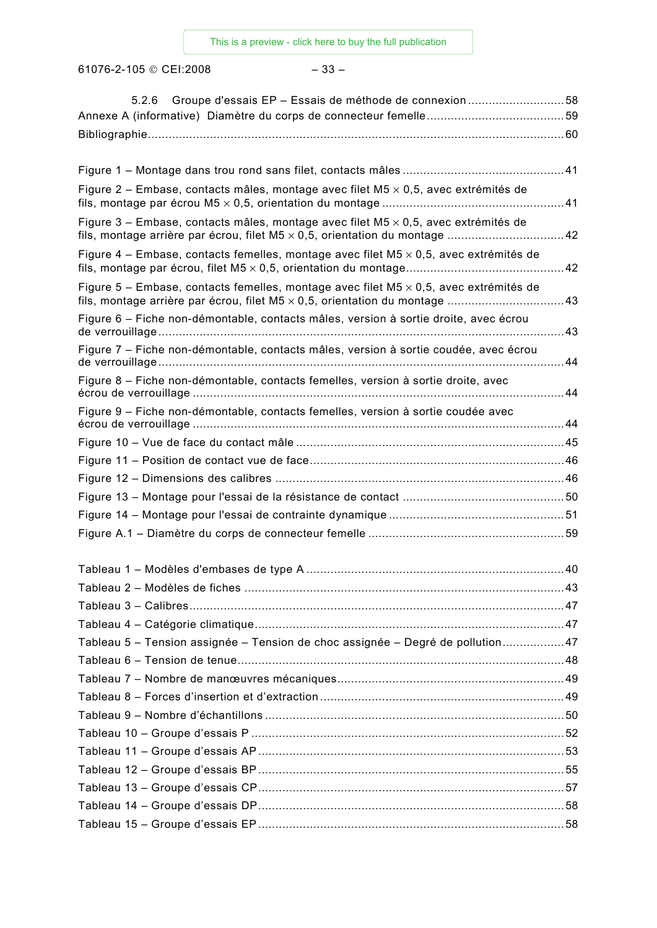61076-2-105 © CEI:2008 – 33 –

| 5.2.6 Groupe d'essais EP - Essais de méthode de connexion 58                                                                                                               |  |
|----------------------------------------------------------------------------------------------------------------------------------------------------------------------------|--|
|                                                                                                                                                                            |  |
|                                                                                                                                                                            |  |
|                                                                                                                                                                            |  |
|                                                                                                                                                                            |  |
| Figure 2 – Embase, contacts mâles, montage avec filet $M5 \times 0.5$ , avec extrémités de                                                                                 |  |
| Figure 3 – Embase, contacts mâles, montage avec filet $M5 \times 0.5$ , avec extrémités de<br>fils, montage arrière par écrou, filet M5 × 0,5, orientation du montage 42   |  |
| Figure 4 – Embase, contacts femelles, montage avec filet M5 $\times$ 0,5, avec extrémités de                                                                               |  |
| Figure 5 – Embase, contacts femelles, montage avec filet M5 $\times$ 0,5, avec extrémités de<br>fils, montage arrière par écrou, filet M5 × 0,5, orientation du montage 43 |  |
| Figure 6 – Fiche non-démontable, contacts mâles, version à sortie droite, avec écrou                                                                                       |  |
| Figure 7 - Fiche non-démontable, contacts mâles, version à sortie coudée, avec écrou                                                                                       |  |
| Figure 8 - Fiche non-démontable, contacts femelles, version à sortie droite, avec                                                                                          |  |
| Figure 9 – Fiche non-démontable, contacts femelles, version à sortie coudée avec                                                                                           |  |
|                                                                                                                                                                            |  |
|                                                                                                                                                                            |  |
|                                                                                                                                                                            |  |
|                                                                                                                                                                            |  |
|                                                                                                                                                                            |  |
|                                                                                                                                                                            |  |
|                                                                                                                                                                            |  |
|                                                                                                                                                                            |  |
|                                                                                                                                                                            |  |
|                                                                                                                                                                            |  |
|                                                                                                                                                                            |  |
| Tableau 5 - Tension assignée - Tension de choc assignée - Degré de pollution47                                                                                             |  |
|                                                                                                                                                                            |  |
|                                                                                                                                                                            |  |
|                                                                                                                                                                            |  |
|                                                                                                                                                                            |  |
|                                                                                                                                                                            |  |
|                                                                                                                                                                            |  |
|                                                                                                                                                                            |  |
|                                                                                                                                                                            |  |
|                                                                                                                                                                            |  |
|                                                                                                                                                                            |  |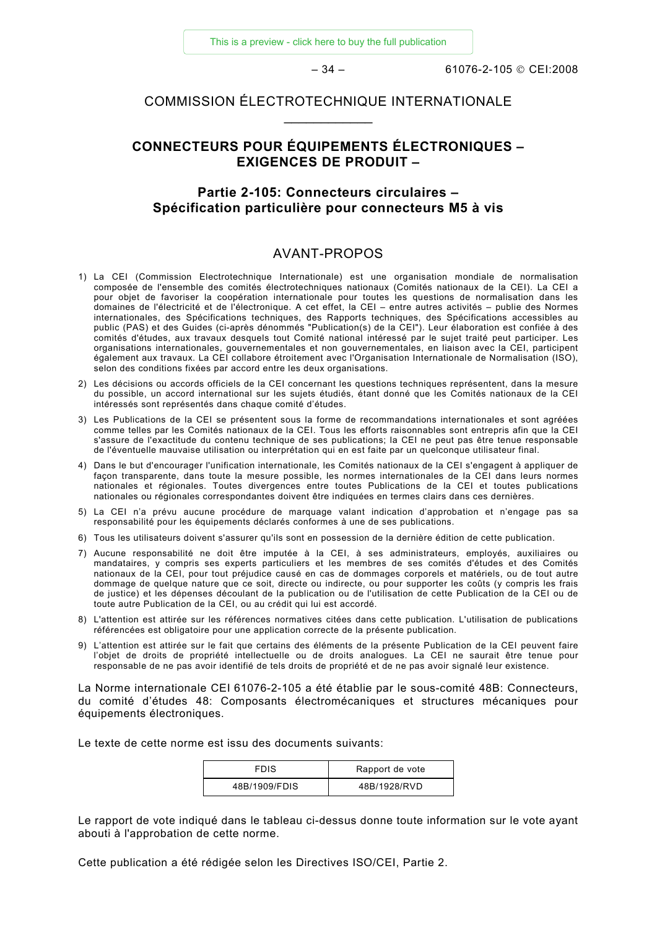[This is a preview - click here to buy the full publication](https://webstore.iec.ch/publication/4422&preview=1)

– 34 – 61076-2-105 © CEI:2008

# <span id="page-10-0"></span>COMMISSION ÉLECTROTECHNIQUE INTERNATIONALE  $\frac{1}{2}$  ,  $\frac{1}{2}$  ,  $\frac{1}{2}$  ,  $\frac{1}{2}$  ,  $\frac{1}{2}$  ,  $\frac{1}{2}$

# **CONNECTEURS POUR ÉQUIPEMENTS ÉLECTRONIQUES – EXIGENCES DE PRODUIT –**

# **Partie 2-105: Connecteurs circulaires – Spécification particulière pour connecteurs M5 à vis**

# AVANT-PROPOS

- 1) La CEI (Commission Electrotechnique Internationale) est une organisation mondiale de normalisation composée de l'ensemble des comités électrotechniques nationaux (Comités nationaux de la CEI). La CEI a pour objet de favoriser la coopération internationale pour toutes les questions de normalisation dans les domaines de l'électricité et de l'électronique. A cet effet, la CEI – entre autres activités – publie des Normes internationales, des Spécifications techniques, des Rapports techniques, des Spécifications accessibles au public (PAS) et des Guides (ci-après dénommés "Publication(s) de la CEI"). Leur élaboration est confiée à des comités d'études, aux travaux desquels tout Comité national intéressé par le sujet traité peut participer. Les organisations internationales, gouvernementales et non gouvernementales, en liaison avec la CEI, participent également aux travaux. La CEI collabore étroitement avec l'Organisation Internationale de Normalisation (ISO), selon des conditions fixées par accord entre les deux organisations.
- 2) Les décisions ou accords officiels de la CEI concernant les questions techniques représentent, dans la mesure du possible, un accord international sur les sujets étudiés, étant donné que les Comités nationaux de la CEI intéressés sont représentés dans chaque comité d'études.
- 3) Les Publications de la CEI se présentent sous la forme de recommandations internationales et sont agréées comme telles par les Comités nationaux de la CEI. Tous les efforts raisonnables sont entrepris afin que la CEI s'assure de l'exactitude du contenu technique de ses publications; la CEI ne peut pas être tenue responsable de l'éventuelle mauvaise utilisation ou interprétation qui en est faite par un quelconque utilisateur final.
- 4) Dans le but d'encourager l'unification internationale, les Comités nationaux de la CEI s'engagent à appliquer de façon transparente, dans toute la mesure possible, les normes internationales de la CEI dans leurs normes nationales et régionales. Toutes divergences entre toutes Publications de la CEI et toutes publications nationales ou régionales correspondantes doivent être indiquées en termes clairs dans ces dernières.
- 5) La CEI n'a prévu aucune procédure de marquage valant indication d'approbation et n'engage pas sa responsabilité pour les équipements déclarés conformes à une de ses publications.
- 6) Tous les utilisateurs doivent s'assurer qu'ils sont en possession de la dernière édition de cette publication.
- 7) Aucune responsabilité ne doit être imputée à la CEI, à ses administrateurs, employés, auxiliaires ou mandataires, y compris ses experts particuliers et les membres de ses comités d'études et des Comités nationaux de la CEI, pour tout préjudice causé en cas de dommages corporels et matériels, ou de tout autre dommage de quelque nature que ce soit, directe ou indirecte, ou pour supporter les coûts (y compris les frais de justice) et les dépenses découlant de la publication ou de l'utilisation de cette Publication de la CEI ou de toute autre Publication de la CEI, ou au crédit qui lui est accordé.
- 8) L'attention est attirée sur les références normatives citées dans cette publication. L'utilisation de publications référencées est obligatoire pour une application correcte de la présente publication.
- 9) L'attention est attirée sur le fait que certains des éléments de la présente Publication de la CEI peuvent faire l'objet de droits de propriété intellectuelle ou de droits analogues. La CEI ne saurait être tenue pour responsable de ne pas avoir identifié de tels droits de propriété et de ne pas avoir signalé leur existence.

La Norme internationale CEI 61076-2-105 a été établie par le sous-comité 48B: Connecteurs, du comité d'études 48: Composants électromécaniques et structures mécaniques pour équipements électroniques.

Le texte de cette norme est issu des documents suivants:

| <b>FDIS</b>   | Rapport de vote |
|---------------|-----------------|
| 48B/1909/FDIS | 48B/1928/RVD    |

Le rapport de vote indiqué dans le tableau ci-dessus donne toute information sur le vote ayant abouti à l'approbation de cette norme.

Cette publication a été rédigée selon les Directives ISO/CEI, Partie 2.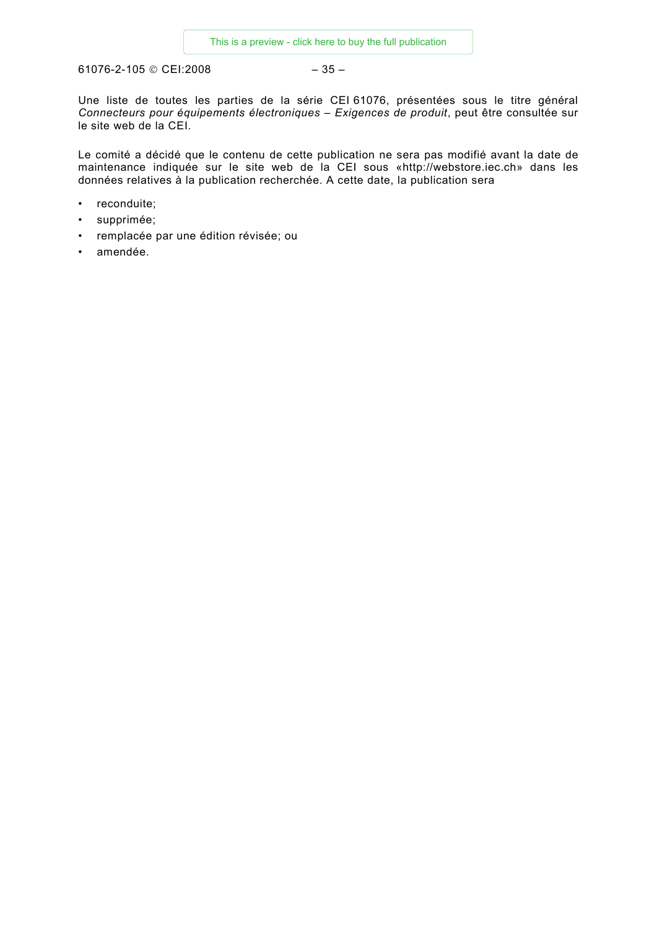61076-2-105 © CEI:2008 – 35 –

Une liste de toutes les parties de la série CEI 61076, présentées sous le titre général *Connecteurs pour équipements électroniques – Exigences de produit*, peut être consultée sur le site web de la CEI.

Le comité a décidé que le contenu de cette publication ne sera pas modifié avant la date de maintenance indiquée sur le site web de la CEI sous «http://webstore.iec.ch» dans les données relatives à la publication recherchée. A cette date, la publication sera

- reconduite;
- supprimée;
- remplacée par une édition révisée; ou
- amendée.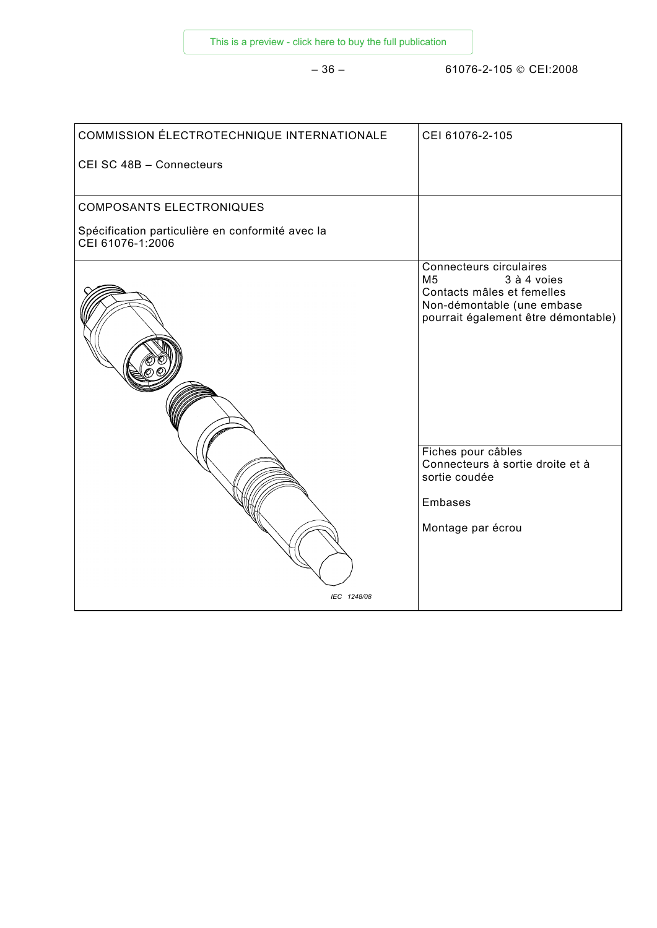– 36 – 61076-2-105 © CEI:2008

| COMMISSION ÉLECTROTECHNIQUE INTERNATIONALE                           | CEI 61076-2-105                                                                                                                                             |
|----------------------------------------------------------------------|-------------------------------------------------------------------------------------------------------------------------------------------------------------|
| CEI SC 48B - Connecteurs                                             |                                                                                                                                                             |
|                                                                      |                                                                                                                                                             |
| COMPOSANTS ELECTRONIQUES                                             |                                                                                                                                                             |
| Spécification particulière en conformité avec la<br>CEI 61076-1:2006 |                                                                                                                                                             |
|                                                                      | Connecteurs circulaires<br>3 à 4 voies<br>M <sub>5</sub><br>Contacts mâles et femelles<br>Non-démontable (une embase<br>pourrait également être démontable) |
|                                                                      | Fiches pour câbles<br>Connecteurs à sortie droite et à<br>sortie coudée<br>Embases                                                                          |
|                                                                      | Montage par écrou                                                                                                                                           |
|                                                                      |                                                                                                                                                             |
| IEC 1248/08                                                          |                                                                                                                                                             |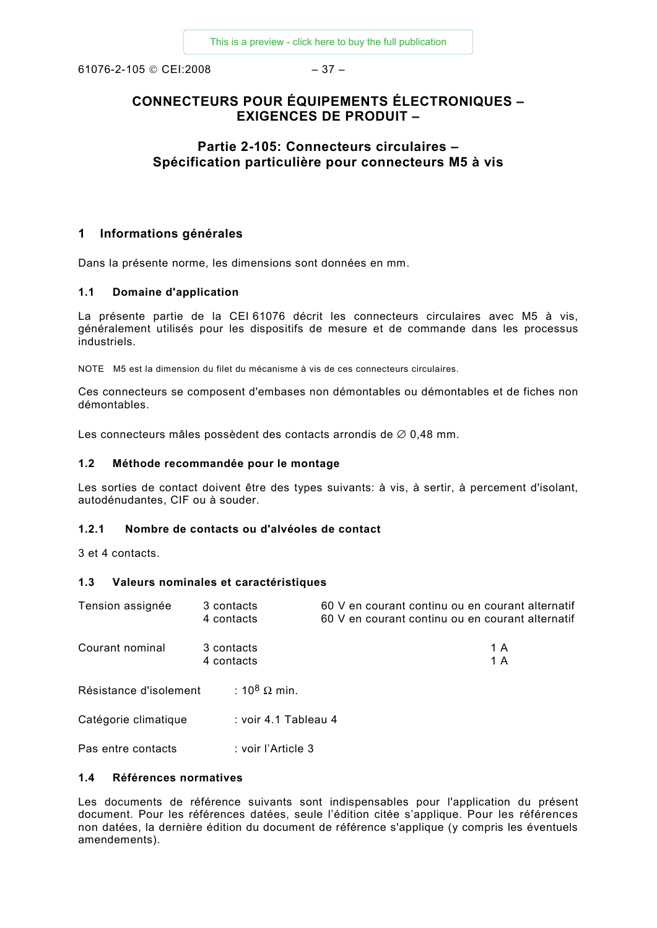<span id="page-13-0"></span>61076-2-105 © CEI:2008 – 37 –

# **CONNECTEURS POUR ÉQUIPEMENTS ÉLECTRONIQUES – EXIGENCES DE PRODUIT –**

# **Partie 2-105: Connecteurs circulaires – Spécification particulière pour connecteurs M5 à vis**

# **1 Informations générales**

Dans la présente norme, les dimensions sont données en mm.

## **1.1 Domaine d'application**

La présente partie de la CEI 61076 décrit les connecteurs circulaires avec M5 à vis, généralement utilisés pour les dispositifs de mesure et de commande dans les processus industriels.

NOTE M5 est la dimension du filet du mécanisme à vis de ces connecteurs circulaires.

Ces connecteurs se composent d'embases non démontables ou démontables et de fiches non démontables.

Les connecteurs mâles possèdent des contacts arrondis de ∅ 0,48 mm.

### **1.2 Méthode recommandée pour le montage**

Les sorties de contact doivent être des types suivants: à vis, à sertir, à percement d'isolant, autodénudantes, CIF ou à souder.

## **1.2.1 Nombre de contacts ou d'alvéoles de contact**

3 et 4 contacts.

### **1.3 Valeurs nominales et caractéristiques**

| Tension assignée       | 3 contacts<br>4 contacts        | 60 V en courant continu ou en courant alternatif<br>60 V en courant continu ou en courant alternatif |
|------------------------|---------------------------------|------------------------------------------------------------------------------------------------------|
| Courant nominal        | 3 contacts<br>4 contacts        | 1 A<br>1 A                                                                                           |
| Résistance d'isolement | : 10 <sup>8</sup> $\Omega$ min. |                                                                                                      |
| Catégorie climatique   | : voir 4.1 Tableau 4            |                                                                                                      |

Pas entre contacts : voir l'Article 3

## **1.4 Références normatives**

Les documents de référence suivants sont indispensables pour l'application du présent document. Pour les références datées, seule l'édition citée s'applique. Pour les références non datées, la dernière édition du document de référence s'applique (y compris les éventuels amendements).